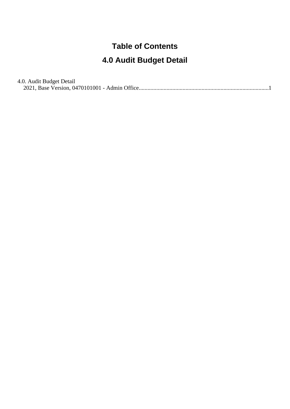#### **Table of Contents**

#### **4.0 Audit Budget Detail**

4.0. Audit Budget Detail

[2021, Base Version, 0470101001 - Admin Office........................................................................................](#page-1-0).1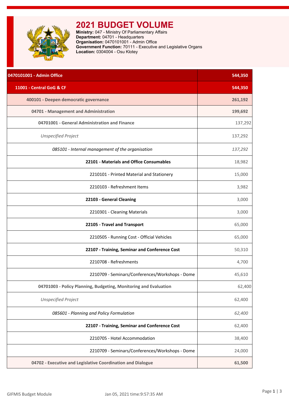<span id="page-1-0"></span>

# **2021 BUDGET VOLUME**

**Ministry:** 047 - Ministry Of Parliamentary Affairs **Department:** 04701 - Headquarters **Organisation:** 0470101001 - Admin Office **Government Function:** 70111 - Executive and Legislative Organs **Location:** 0304004 - Osu Klotey

| 0470101001 - Admin Office                                        | 544,350 |
|------------------------------------------------------------------|---------|
| 11001 - Central GoG & CF                                         | 544,350 |
| 400101 - Deepen democratic governance                            | 261,192 |
| 04701 - Management and Administration                            | 199,692 |
| 04701001 - General Administration and Finance                    | 137,292 |
| <b>Unspecified Project</b>                                       | 137,292 |
| 085101 - Internal management of the organisation                 | 137,292 |
| 22101 - Materials and Office Consumables                         | 18,982  |
| 2210101 - Printed Material and Stationery                        | 15,000  |
| 2210103 - Refreshment Items                                      | 3,982   |
| 22103 - General Cleaning                                         | 3,000   |
| 2210301 - Cleaning Materials                                     | 3,000   |
| 22105 - Travel and Transport                                     | 65,000  |
| 2210505 - Running Cost - Official Vehicles                       | 65,000  |
| 22107 - Training, Seminar and Conference Cost                    | 50,310  |
| 2210708 - Refreshments                                           | 4,700   |
| 2210709 - Seminars/Conferences/Workshops - Dome                  | 45,610  |
| 04701003 - Policy Planning, Budgeting, Monitoring and Evaluation | 62,400  |
| <b>Unspecified Project</b>                                       | 62,400  |
| 085601 - Planning and Policy Formulation                         | 62,400  |
| 22107 - Training, Seminar and Conference Cost                    | 62,400  |
| 2210705 - Hotel Accommodation                                    | 38,400  |
| 2210709 - Seminars/Conferences/Workshops - Dome                  | 24,000  |
| 04702 - Executive and Legislative Coordination and Dialogue      | 61,500  |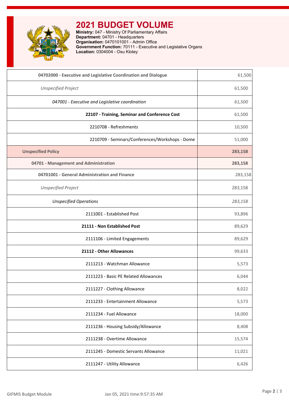

## **2021 BUDGET VOLUME**

**Ministry:** 047 - Ministry Of Parliamentary Affairs **Department:** 04701 - Headquarters **Organisation:** 0470101001 - Admin Office **Government Function:** 70111 - Executive and Legislative Organs **Location:** 0304004 - Osu Klotey

| 04702000 - Executive and Legislative Coordination and Dialogue | 61,500  |
|----------------------------------------------------------------|---------|
| <b>Unspecified Project</b>                                     | 61,500  |
| 047001 - Executive and Legislative coordination                | 61,500  |
| 22107 - Training, Seminar and Conference Cost                  | 61,500  |
| 2210708 - Refreshments                                         | 10,500  |
| 2210709 - Seminars/Conferences/Workshops - Dome                | 51,000  |
| <b>Unspecified Policy</b>                                      | 283,158 |
| 04701 - Management and Administration                          | 283,158 |
| 04701001 - General Administration and Finance                  | 283,158 |
| <b>Unspecified Project</b>                                     | 283,158 |
| <b>Unspecified Operations</b>                                  | 283,158 |
| 2111001 - Established Post                                     | 93,896  |
| 21111 - Non Established Post                                   | 89,629  |
| 2111106 - Limited Engagements                                  | 89,629  |
| 21112 - Other Allowances                                       | 99,633  |
| 2111213 - Watchman Allowance                                   | 5,573   |
| 2111223 - Basic PE Related Allowances                          | 6,044   |
| 2111227 - Clothing Allowance                                   | 8,022   |
| 2111233 - Entertainment Allowance                              | 5,573   |
| 2111234 - Fuel Allowance                                       | 18,000  |
| 2111236 - Housing Subsidy/Allowance                            | 8,408   |
| 2111238 - Overtime Allowance                                   | 15,574  |
| 2111245 - Domestic Servants Allowance                          | 11,021  |
| 2111247 - Utility Allowance                                    | 6,426   |